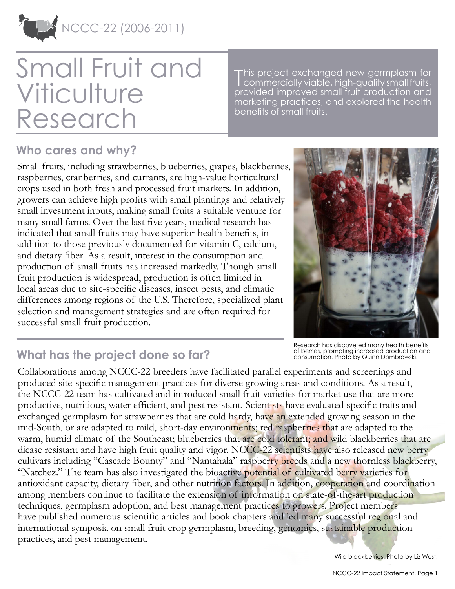

# Small Fruit and **Viticulture** Research

This project exchanged new germplasm for<br>Commercially viable, high-quality small fruits, commercially viable, high-quality small fruits, provided improved small fruit production and marketing practices, and explored the health benefits of small fruits.

### **Who cares and why?**

Small fruits, including strawberries, blueberries, grapes, blackberries, raspberries, cranberries, and currants, are high-value horticultural crops used in both fresh and processed fruit markets. In addition, growers can achieve high profits with small plantings and relatively small investment inputs, making small fruits a suitable venture for many small farms. Over the last five years, medical research has indicated that small fruits may have superior health benefits, in addition to those previously documented for vitamin C, calcium, and dietary fiber. As a result, interest in the consumption and production of small fruits has increased markedly. Though small fruit production is widespread, production is often limited in local areas due to site-specific diseases, insect pests, and climatic differences among regions of the U.S. Therefore, specialized plant selection and management strategies and are often required for successful small fruit production.



Research has discovered many health benefits of berries, prompting increased production and consumption. Photo by Quinn Dombrowski.

## **What has the project done so far?**

Collaborations among NCCC-22 breeders have facilitated parallel experiments and screenings and produced site-specific management practices for diverse growing areas and conditions. As a result, the NCCC-22 team has cultivated and introduced small fruit varieties for market use that are more productive, nutritious, water efficient, and pest resistant. Scientists have evaluated specific traits and exchanged germplasm for strawberries that are cold hardy, have an extended growing season in the mid-South, or are adapted to mild, short-day environments; red raspberries that are adapted to the warm, humid climate of the Southeast; blueberries that are cold tolerant; and wild blackberries that are diease resistant and have high fruit quality and vigor. NCCC-22 scientists have also released new berry cultivars including "Cascade Bounty" and "Nantahala" raspberry breeds and a new thornless blackberry, "Natchez." The team has also investigated the bioactive potential of cultivated berry varieties for antioxidant capacity, dietary fiber, and other nutrition factors. In addition, cooperation and coordination among members continue to facilitate the extension of information on state-of-the-art production techniques, germplasm adoption, and best management practices to growers. Project members have published numerous scientific articles and book chapters and led many successful regional and international symposia on small fruit crop germplasm, breeding, genomics, sustainable production practices, and pest management.

Wild blackberries. Photo by Liz West.